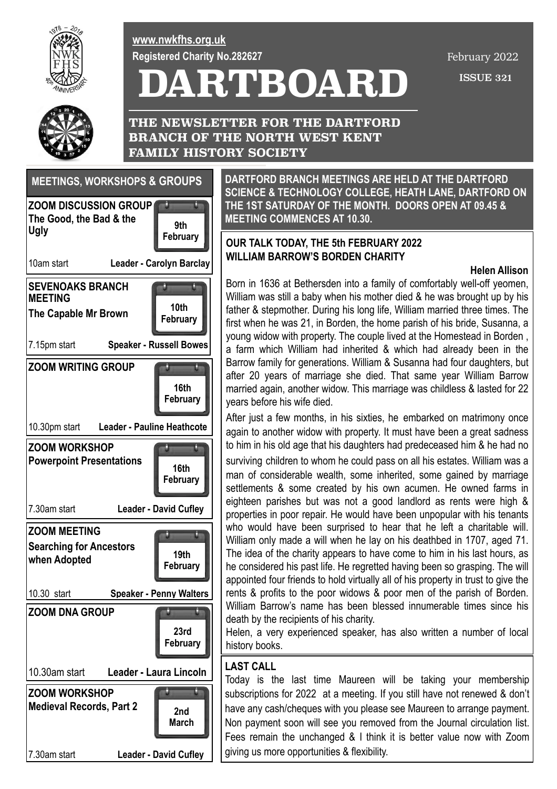

**[www.nwkfhs.org.uk](http://www.nwkfhs.org.uk) Registered Charity No.282627**

# **DARTBOARD**

February 2022

ISSUE 321



**THE NEWSLETTER FOR THE DARTFORD BRANCH OF THE NORTH WEST KENT FAMILY HISTORY SOCIETY**

# **SEVENOAKS BRANCH MEETING The Capable Mr Brown** 7.15pm start **Speaker - Russell Bowes 10th February ZOOM DISCUSSION GROUP The Good, the Bad & the Ugly** 10am start **Leader - Carolyn Barclay 9th ZOOM DNA GROUP** 10.30am start **Leader - Laura Lincoln 23rd February ZOOM WRITING GROUP** 10.30pm start **Leader - Pauline Heathcote 16th February ZOOM MEETING Searching for Ancestors when Adopted** 10.30 start **Speaker - Penny Walters 19th February ZOOM WORKSHOP Powerpoint Presentations** 7.30am start **Leader - David Cufley 16th February MEETINGS, WORKSHOPS & GROUPS ZOOM WORKSHOP Medieval Records, Part 2** 7.30am start **Leader - David Cufley 2nd March**

**DARTFORD BRANCH MEETINGS ARE HELD AT THE DARTFORD SCIENCE & TECHNOLOGY COLLEGE, HEATH LANE, DARTFORD ON THE 1ST SATURDAY OF THE MONTH. DOORS OPEN AT 09.45 & MEETING COMMENCES AT 10.30.**

# February **| | | | OUR TALK TODAY, THE 5th FEBRUARY 2022 WILLIAM BARROW'S BORDEN CHARITY**

## **Helen Allison**

Born in 1636 at Bethersden into a family of comfortably well-off yeomen, William was still a baby when his mother died & he was brought up by his father & stepmother. During his long life, William married three times. The first when he was 21, in Borden, the home parish of his bride, Susanna, a young widow with property. The couple lived at the Homestead in Borden , a farm which William had inherited & which had already been in the Barrow family for generations. William & Susanna had four daughters, but after 20 years of marriage she died. That same year William Barrow married again, another widow. This marriage was childless & lasted for 22 years before his wife died.

After just a few months, in his sixties, he embarked on matrimony once again to another widow with property. It must have been a great sadness to him in his old age that his daughters had predeceased him & he had no

surviving children to whom he could pass on all his estates. William was a man of considerable wealth, some inherited, some gained by marriage settlements & some created by his own acumen. He owned farms in eighteen parishes but was not a good landlord as rents were high & properties in poor repair. He would have been unpopular with his tenants who would have been surprised to hear that he left a charitable will. William only made a will when he lay on his deathbed in 1707, aged 71. The idea of the charity appears to have come to him in his last hours, as he considered his past life. He regretted having been so grasping. The will appointed four friends to hold virtually all of his property in trust to give the rents & profits to the poor widows & poor men of the parish of Borden. William Barrow's name has been blessed innumerable times since his death by the recipients of his charity.

Helen, a very experienced speaker, has also written a number of local history books.

# **LAST CALL**

Today is the last time Maureen will be taking your membership subscriptions for 2022 at a meeting. If you still have not renewed & don't have any cash/cheques with you please see Maureen to arrange payment. Non payment soon will see you removed from the Journal circulation list. Fees remain the unchanged & I think it is better value now with Zoom giving us more opportunities & flexibility.